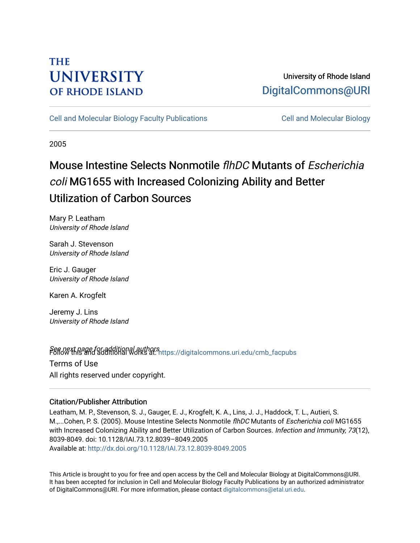# **THE UNIVERSITY OF RHODE ISLAND**

## University of Rhode Island [DigitalCommons@URI](https://digitalcommons.uri.edu/)

[Cell and Molecular Biology Faculty Publications](https://digitalcommons.uri.edu/cmb_facpubs) [Cell and Molecular Biology](https://digitalcommons.uri.edu/cmb) 

2005

# Mouse Intestine Selects Nonmotile flhDC Mutants of Escherichia coli MG1655 with Increased Colonizing Ability and Better Utilization of Carbon Sources

Mary P. Leatham University of Rhode Island

Sarah J. Stevenson University of Rhode Island

Eric J. Gauger University of Rhode Island

Karen A. Krogfelt

Jeremy J. Lins University of Rhode Island

Seff*old* this and additional authors<br>Poliommons.uri.edu/cmb\_facpubs Terms of Use All rights reserved under copyright.

### Citation/Publisher Attribution

Leatham, M. P., Stevenson, S. J., Gauger, E. J., Krogfelt, K. A., Lins, J. J., Haddock, T. L., Autieri, S. M.,...Cohen, P. S. (2005). Mouse Intestine Selects Nonmotile flhDC Mutants of Escherichia coli MG1655 with Increased Colonizing Ability and Better Utilization of Carbon Sources. Infection and Immunity, 73(12), 8039-8049. doi: 10.1128/IAI.73.12.8039–8049.2005 Available at:<http://dx.doi.org/10.1128/IAI.73.12.8039-8049.2005>

This Article is brought to you for free and open access by the Cell and Molecular Biology at DigitalCommons@URI. It has been accepted for inclusion in Cell and Molecular Biology Faculty Publications by an authorized administrator of DigitalCommons@URI. For more information, please contact [digitalcommons@etal.uri.edu](mailto:digitalcommons@etal.uri.edu).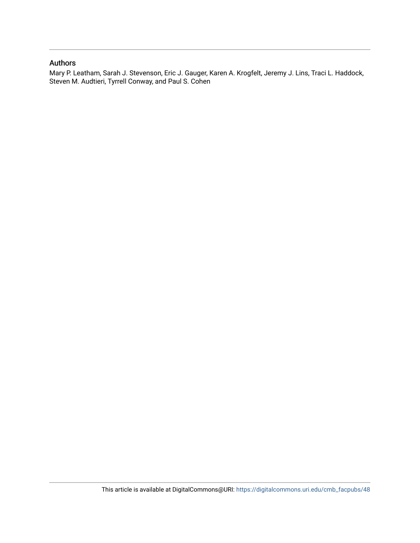### Authors

Mary P. Leatham, Sarah J. Stevenson, Eric J. Gauger, Karen A. Krogfelt, Jeremy J. Lins, Traci L. Haddock, Steven M. Audtieri, Tyrrell Conway, and Paul S. Cohen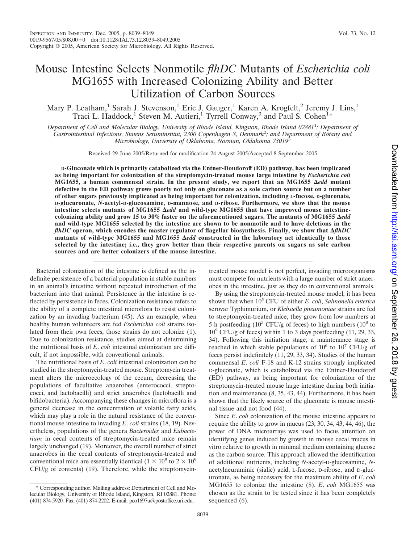## Mouse Intestine Selects Nonmotile *flhDC* Mutants of *Escherichia coli* MG1655 with Increased Colonizing Ability and Better Utilization of Carbon Sources

Mary P. Leatham,<sup>1</sup> Sarah J. Stevenson,<sup>1</sup> Eric J. Gauger,<sup>1</sup> Karen A. Krogfelt,<sup>2</sup> Jeremy J. Lins,<sup>1</sup> Traci L. Haddock,<sup>1</sup> Steven M. Autieri,<sup>1</sup> Tyrrell Conway,<sup>3</sup> and Paul S. Cohen<sup>1</sup>\*

*Department of Cell and Molecular Biology, University of Rhode Island, Kingston, Rhode Island 02881*<sup>1</sup> *; Department of Gastrointestinal Infections, Statens Seruminstitut, 2300 Copenhagen S, Denmark*<sup>2</sup> *; and Department of Botany and Microbiology, University of Oklahoma, Norman, Oklahoma 73019*<sup>3</sup>

Received 29 June 2005/Returned for modification 24 August 2005/Accepted 8 September 2005

**D-Gluconate which is primarily catabolized via the Entner-Doudoroff (ED) pathway, has been implicated as being important for colonization of the streptomycin-treated mouse large intestine by** *Escherichia coli* **MG1655, a human commensal strain. In the present study, we report that an MG1655** *edd* **mutant defective in the ED pathway grows poorly not only on gluconate as a sole carbon source but on a number of other sugars previously implicated as being important for colonization, including L-fucose, D-gluconate, D-glucuronate,** *N***-acetyl-D-glucosamine, D-mannose, and D-ribose. Furthermore, we show that the mouse** intestine selects mutants of MG1655  $\Delta$ *edd* and wild-type MG1655 that have improved mouse intestinecolonizing ability and grow 15 to 30% faster on the aforementioned sugars. The mutants of MG1655  $\Delta$ *edd* **and wild-type MG1655 selected by the intestine are shown to be nonmotile and to have deletions in the** *flhDC* operon, which encodes the master regulator of flagellar biosynthesis. Finally, we show that  $\Delta f$ *hDC* mutants of wild-type MG1655 and MG1655  $\Delta$ *edd* constructed in the laboratory act identically to those **selected by the intestine; i.e., they grow better than their respective parents on sugars as sole carbon sources and are better colonizers of the mouse intestine.**

Bacterial colonization of the intestine is defined as the indefinite persistence of a bacterial population in stable numbers in an animal's intestine without repeated introduction of the bacterium into that animal. Persistence in the intestine is reflected by persistence in feces. Colonization resistance refers to the ability of a complete intestinal microflora to resist colonization by an invading bacterium (45). As an example, when healthy human volunteers are fed *Escherichia coli* strains isolated from their own feces, those strains do not colonize (1). Due to colonization resistance, studies aimed at determining the nutritional basis of *E*. *coli* intestinal colonization are difficult, if not impossible, with conventional animals.

The nutritional basis of *E*. *coli* intestinal colonization can be studied in the streptomycin-treated mouse. Streptomycin treatment alters the microecology of the cecum, decreasing the populations of facultative anaerobes (enterococci, streptococci, and lactobacilli) and strict anaerobes (lactobacilli and bifidobacteria). Accompanying these changes in microflora is a general decrease in the concentration of volatile fatty acids, which may play a role in the natural resistance of the conventional mouse intestine to invading *E*. *coli* strains (18, 19). Nevertheless, populations of the genera *Bacteroides* and *Eubacterium* in cecal contents of streptomycin-treated mice remain largely unchanged (19). Moreover, the overall number of strict anaerobes in the cecal contents of streptomycin-treated and conventional mice are essentially identical ( $1 \times 10^9$  to  $2 \times 10^9$ ) CFU/g of contents) (19). Therefore, while the streptomycintreated mouse model is not perfect, invading microorganisms must compete for nutrients with a large number of strict anaerobes in the intestine, just as they do in conventional animals.

By using the streptomycin-treated mouse model, it has been shown that when 10<sup>5</sup> CFU of either *E*. *coli*, *Salmonella enterica* serovar Typhimurium, or *Klebsiella pneumoniae* strains are fed to streptomycin-treated mice, they grow from low numbers at 5 h postfeeding  $(10^5 \text{ CFU/g of feces})$  to high numbers  $(10^8 \text{ to }$  $10^9$  CFU/g of feces) within 1 to 3 days postfeeding (11, 29, 33, 34). Following this initiation stage, a maintenance stage is reached in which stable populations of  $10^6$  to  $10^7$  CFU/g of feces persist indefinitely (11, 29, 33, 34). Studies of the human commensal *E*. *coli* F-18 and K-12 strains strongly implicated D-gluconate, which is catabolized via the Entner-Doudoroff (ED) pathway, as being important for colonization of the streptomycin-treated mouse large intestine during both initiation and maintenance (8, 35, 43, 44). Furthermore, it has been shown that the likely source of the gluconate is mouse intestinal tissue and not food (44).

Since *E*. *coli* colonization of the mouse intestine appears to require the ability to grow in mucus (23, 30, 34, 43, 44, 46), the power of DNA microarrays was used to focus attention on identifying genes induced by growth in mouse cecal mucus in vitro relative to growth in minimal medium containing glucose as the carbon source. This approach allowed the identification of additional nutrients, including *N*-acetyl-D-glucosamine, *N*acetylneuraminic (sialic) acid, L-fucose, D-ribose, and D-glucuronate, as being necessary for the maximum ability of *E*. *coli* MG1655 to colonize the intestine (8). *E*. *coli* MG1655 was chosen as the strain to be tested since it has been completely sequenced  $(6)$ .

<sup>\*</sup> Corresponding author. Mailing address: Department of Cell and Molecular Biology, University of Rhode Island, Kingston, RI 02881. Phone: (401) 874-5920. Fax: (401) 874-2202. E-mail: pco1697u@postoffice.uri.edu.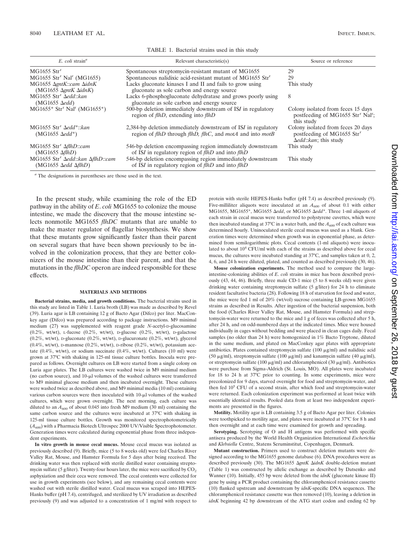| $E$ coli strain <sup>a</sup>                                                                      | Relevant characteristic(s)                                                                                                                                      | Source or reference                                                                                            |
|---------------------------------------------------------------------------------------------------|-----------------------------------------------------------------------------------------------------------------------------------------------------------------|----------------------------------------------------------------------------------------------------------------|
| $MG1655$ Str <sup>r</sup>                                                                         | Spontaneous streptomycin-resistant mutant of MG1655                                                                                                             | 29                                                                                                             |
| $MG1655$ Str <sup>r</sup> Nal <sup>r</sup> (MG1655)                                               | Spontaneous nalidixic acid-resistant mutant of MG1655 Str <sup>r</sup>                                                                                          | 29                                                                                                             |
| MG1655 AgntK::cam AidnK<br>$(MG1655 \ \Delta gntK \ \Delta idnK)$                                 | Lacks gluconate kinases I and II and fails to grow using<br>gluconate as sole carbon and energy source                                                          | This study                                                                                                     |
| MG1655 Str <sup>r</sup> Aedd::kan<br>$(MG1655 \text{ }\Delta edd)$                                | Lacks 6-phosphogluconate dehydratase and grows poorly using<br>gluconate as sole carbon and energy source                                                       | 8                                                                                                              |
| $MG1655*$ Str <sup>r</sup> Nal <sup>r</sup> (MG1655*)                                             | 500-bp deletion immediately downstream of ISI in regulatory<br>region of <i>flhD</i> , extending into <i>flhD</i>                                               | Colony isolated from feces 15 days<br>postfeeding of MG1655 Str <sup>r</sup> Nal <sup>r</sup> ;<br>this study  |
| MG1655 $Strr \triangle edd*: kan$<br>$(MG1655 \text{ }\Delta edd^*)$                              | 2,384-bp deletion immediately downstream of ISI in regulatory<br>region of <i>flhD</i> through <i>flhD</i> , <i>flhC</i> , and <i>motA</i> and into <i>motB</i> | Colony isolated from feces 20 days<br>postfeeding of MG1655 Str <sup>r</sup><br>$\Delta edd::kan$ ; this study |
| MG1655 $Strr \Delta flhD::cam$<br>$(MG1655 \Delta flhD)$                                          | 546-bp deletion encompassing region immediately downstream<br>of ISI in regulatory region of $f$ thD and into $f$ thD                                           | This study                                                                                                     |
| MG1655 Str <sup>r</sup> Aedd::kan AflhD::cam<br>$(MG1655 \text{ }\Delta edd \text{ }\Delta flhD)$ | 546-bp deletion encompassing region immediately downstream<br>of ISI in regulatory region of flhD and into flhD                                                 | This study                                                                                                     |

TABLE 1. Bacterial strains used in this study

*<sup>a</sup>* The designations in parentheses are those used in the text.

In the present study, while examining the role of the ED pathway in the ability of *E*. *coli* MG1655 to colonize the mouse intestine, we made the discovery that the mouse intestine selects nonmotile MG1655 *flhDC* mutants that are unable to make the master regulator of flagellar biosynthesis. We show that these mutants grow significantly faster than their parent on several sugars that have been shown previously to be involved in the colonization process, that they are better colonizers of the mouse intestine than their parent, and that the mutations in the *flhDC* operon are indeed responsible for these effects.

#### **MATERIALS AND METHODS**

**Bacterial strains, media, and growth conditions.** The bacterial strains used in this study are listed in Table 1. Luria broth (LB) was made as described by Revel (39). Luria agar is LB containing 12 g of Bacto Agar (Difco) per liter. MacConkey agar (Difco) was prepared according to package instructions. M9 minimal medium (27) was supplemented with reagent grade *N*-acetyl-D-glucosamine (0.2%, wt/wt), L-fucose (0.2%, wt/wt), D-glucose (0.2%, wt/wt), D-galactose  $(0.2\%$ , wt/wt), p-gluconate  $(0.2\%$ , wt/wt), p-glucuronate  $(0.2\%$ , wt/wt), glycerol (0.4%, wt/wt), D-mannose (0.2%, wt/wt), D-ribose (0.2%, wt/wt), potassium acetate (0.4%, wt/wt), or sodium succinate (0.4%, wt/wt). Cultures (10 ml) were grown at 37°C with shaking in 125-ml tissue culture bottles. Inocula were prepared as follows. Overnight cultures on LB were started from a single colony on Luria agar plates. The LB cultures were washed twice in M9 minimal medium (no carbon source), and 10-µl volumes of the washed cultures were transferred to M9 minimal glucose medium and then incubated overnight. These cultures were washed twice as described above, and M9 minimal media (10 ml) containing various carbon sources were then inoculated with 10-µl volumes of the washed cultures, which were grown overnight. The next morning, each culture was diluted to an  $A_{600}$  of about 0.045 into fresh M9 medium (30 ml) containing the same carbon source and the cultures were incubated at 37°C with shaking in 125-ml tissue culture bottles. Growth was monitored spectrophotometrically  $(A_{600})$  with a Pharmacia Biotech Ultrospec 2000 UV/Visible Spectrophotometer. Generation times were calculated during exponential phase from three independent experiments.

**In vitro growth in mouse cecal mucus.** Mouse cecal mucus was isolated as previously described (9). Briefly, mice (5 to 8 weeks old) were fed Charles River Valley Rat, Mouse, and Hamster Formula for 5 days after being received. The drinking water was then replaced with sterile distilled water containing streptomycin sulfate (5 g/liter). Twenty-four hours later, the mice were sacrificed by  $CO<sub>2</sub>$ asphyxiation and their ceca were removed. The cecal contents were collected for use in growth experiments (see below), and any remaining cecal contents were washed out with sterile distilled water. Cecal mucus was scraped into HEPES-Hanks buffer (pH 7.4), centrifuged, and sterilized by UV irradiation as described previously (9) and was adjusted to a concentration of 1 mg/ml with respect to

protein with sterile HEPES-Hanks buffer (pH 7.4) as described previously (9). Five-milliliter aliquots were inoculated at an  $A_{600}$  of about 0.1 with either MG1655, MG1655\*, MG1655 *edd*, or MG1655 *edd*\*. Three 1-ml aliquots of each strain in cecal mucus were transferred to polystyrene cuvettes, which were then incubated standing at 37°C in a water bath, and the  $A_{600}$  of each culture was determined hourly. Uninoculated sterile cecal mucus was used as a blank. Generation times were determined when growth was in exponential phase, as determined from semilogarithmic plots. Cecal contents (1-ml aliquots) were inoculated to about  $10^4$  CFU/ml with each of the strains as described above for cecal mucus, the cultures were incubated standing at 37°C, and samples taken at 0, 2, 4, 6, and 24 h were diluted, plated, and counted as described previously (30, 46).

**Mouse colonization experiments.** The method used to compare the largeintestine-colonizing abilities of *E*. *coli* strains in mice has been described previously (43, 44, 46). Briefly, three male CD-1 mice (5 to 8 weeks old) were given drinking water containing streptomycin sulfate (5 g/liter) for 24 h to eliminate resident facultative bacteria (28). Following 18 h of starvation for food and water, the mice were fed 1 ml of 20% (wt/vol) sucrose containing LB-grown MG1655 strains as described in Results. After ingestion of the bacterial suspension, both the food (Charles River Valley Rat, Mouse, and Hamster Formula) and streptomycin-water were returned to the mice and 1 g of feces was collected after 5 h, after 24 h, and on odd-numbered days at the indicated times. Mice were housed individually in cages without bedding and were placed in clean cages daily. Fecal samples (no older than 24 h) were homogenized in 1% Bacto Tryptone, diluted in the same medium, and plated on MacConkey agar plates with appropriate antibiotics. Plates contained streptomycin sulfate  $(100 \mu g/ml)$  and nalidixic acid (50  $\mu$ g/ml), streptomycin sulfate (100  $\mu$ g/ml) and kanamycin sulfate (40  $\mu$ g/ml), or streptomycin sulfate (100  $\mu$ g/ml) and chloramphenicol (30  $\mu$ g/ml). Antibiotics were purchase from Sigma-Aldrich (St. Louis, MO). All plates were incubated for 18 to 24 h at 37°C prior to counting. In some experiments, mice were precolonized for 9 days, starved overnight for food and streptomycin-water, and then fed  $10<sup>5</sup>$  CFU of a second strain, after which food and streptomycin-water were returned. Each colonization experiment was performed at least twice with essentially identical results. Pooled data from at least two independent experiments are presented in the figures.

**Motility.** Motility agar is LB containing 3.5 g of Bacto Agar per liter. Colonies were toothpicked to motility agar, and plates were incubated at 37°C for 8 h and then overnight and at each time were examined for growth and spreading.

**Serotyping.** Serotyping of O and H antigens was performed with specific antisera produced by the World Health Organization International *Escherichia* and *Klebsiella* Centre, Statens Seruminstitut, Copenhagen, Denmark.

**Mutant construction.** Primers used to construct deletion mutants were designed according to the MG1655 genome database (6). DNA procedures were as described previously (30). The MG1655  $\Delta gntK \Delta idnK$  double-deletion mutant (Table 1) was constructed by allelic exchange as described by Datsenko and Wanner (10). Initially, 455 bp were deleted from the *idnK* (gluconate kinase II) gene by using a PCR product containing the chloramphenicol resistance cassette (10) flanked upstream and downstream by *idnK*-specific DNA sequences. The chloramphenicol resistance cassette was then removed (10), leaving a deletion in *idnK* beginning 42 bp downstream of the ATG start codon and ending 62 bp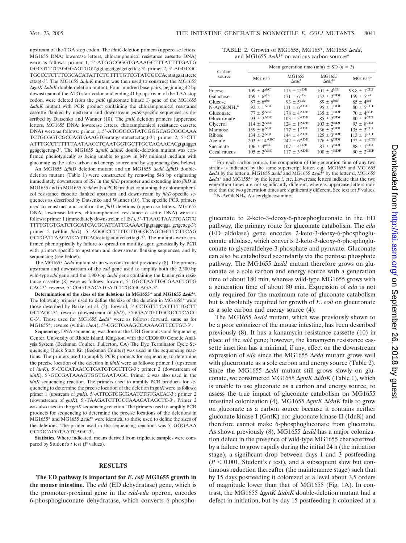upstream of the TGA stop codon. The *idnK* deletion primers (uppercase letters, MG1655 DNA; lowercase letters, chloramphenicol resistance cassette DNA) were as follows: primer 1, 5-ATGGCGGGTGAAAGCTTTATTTTGATG GGCGTTTCAGGGAGTGGTgtgtaggctggagctgcttcg-3; primer 2, 5-AGGCGC TGCCCTCTTTCGCACATATTCTGTTTTGTCGTATCGCCAcatatgaatatcctc cttagt-3'. The MG1655 ΔidnK mutant was then used to construct the MG1655 *ΔgntK ΔidnK* double-deletion mutant. Four hundred base pairs, beginning 42 bp downstream of the ATG start codon and ending 41 bp upstream of the TAA stop codon, were deleted from the *gntK* (gluconate kinase I) gene of the MG1655 *idnK* mutant with PCR product containing the chloramphenicol resistance cassette flanked by upstream and downstream *gntK*-specific sequences as described by Datsenko and Wanner (10). The *gntK* deletion primers (uppercase letters, MG1655 DNA; lowercase letters, chloramphenicol resistance cassette DNA) were as follows: primer 1, 5-ATGGGCGTATCGGGCAGCGGCAAA TCTGCGGTCGCCAGTGAAGTGcatatgaatatcctccttagt-3'; primer 2, 5'-CTT ATTTGCCTTTTTTAATAACCTCAATGGTGCTTGCCACAACACgtgtaggct ggagctgcttcg-3'. The MG1655  $\Delta gntK \Delta i dnK$  double-deletion mutant was confirmed phenotypically as being unable to grow in M9 minimal medium with gluconate as the sole carbon and energy source and by sequencing (see below).

An MG1655  $\Delta f l hD$  deletion mutant and an MG1655  $\Delta e d d \Delta f l h D$  doubledeletion mutant (Table 1) were constructed by removing 546 bp originating immediately downstream of IS*1* in the *flhD* promoter and extending into *flhD* in MG1655 and in MG1655 *edd* with a PCR product containing the chloramphenicol resistance cassette flanked upstream and downstream by *flhD*-specific sequences as described by Datsenko and Wanner (10). The specific PCR primers used to construct and confirm the *flhD* deletions (uppercase letters, MG1655 DNA; lowercase letters, chloramphenicol resistance cassette DNA) were as follows: primer 1 (immediately downstream of IS*1*), 5'-TTAAGTAATTGAGTG TTTTGTGTGATCTGCATCACGCATTATTGAAAATgtgtaggctgga gctgcttcg-3'; primer 2 (within *flhD*), 5'-AGGCCCTTTTCTTGCGCAGCGCTTCTTCAG GCTGATTAACATCATTCAGcatatgaatatcctccttagt-3. The mutants were confirmed phenotypically by failure to spread on motility agar, genetically by PCR with primers specific to upstream and downstream flanking sequences, and by sequencing (see below).

The MG1655  $\Delta$ *edd* mutant strain was constructed previously (8). The primers upstream and downstream of the *edd* gene used to amplify both the 2,300-bp wild-type edd gene and the 1,900-bp  $\Delta$ edd gene containing the kanamycin resistance cassette (8) were as follows: forward, 5'-GGCTAATTGCGAACTGTG CAC-3'; reverse, 5'-CGGTAACATGATCTTGCGCAGA-3'.

Determination of the sizes of the deletions in MG1655\* and MG1655  $\Delta edd^*$ . The following primers used to define the size of the deletion in MG1655\* were those described by Barker et al. (2): forward, 5-CCTGTTTCATTTTTGCTT GCTAGC-3'; reverse (downstream of *flhD*), 5'GGAATGTTGCGCCTCACC G-3'. Those used for MG1655  $\Delta edd^*$  were as follows: forward, same as for MG1655\*; reverse (within *cheA*), 5'-CGCTGAAGCCAAAAGTTCCTGC-3'.

**Sequencing.** DNA sequencing was done at the URI Genomics and Sequencing Center, University of Rhode Island, Kingston, with the CEQ8000 Genetic Analysis System (Beckman Coulter, Fullerton, CA) The Dye Terminator Cycle Sequencing Quick Start Kit (Beckman Coulter) was used in the sequencing reactions. The primers used to amplify PCR products for sequencing to determine the precise location of the deletion in *idnK* were as follows: primer 1 (upstream of *idnK*), 5'-CGCATAACGTGATGTGCCTTG-3'; primer 2 (downstream of *idnK*), 5'-GCCGATAAAGTGGTGAATAGC. Primer 2 was also used in the *idnK* sequencing reaction. The primers used to amplify PCR products for sequencing to determine the precise location of the deletion in *gntK* were as follows: primer 1 (upstream of *gntK*), 5'-ATTCGTGGCGAATCTGTGACAC-3'; primer 2 (downstream of *gntK*), 5'-TAAGATCTTGCCAAACATAGCTC-3', Primer 2 was also used in the *gntK* sequencing reaction. The primers used to amplify PCR products for sequencing to determine the precise locations of the deletions in MG1655<sup>\*</sup> and MG1655  $\Delta edd^*$  were identical to those used to define the sizes of the deletions. The primer used in the sequencing reactions was 5'-GGGAAA GCTGCACGTAATCAGC-3.

**Statistics.** Where indicated, means derived from triplicate samples were compared by Student's *t* test (*P* values).

#### **RESULTS**

**The ED pathway is important for** *E***.** *coli* **MG1655 growth in the mouse intestine.** The *edd* (ED dehydratase) gene, which is the promoter-proximal gene in the *edd*-*eda* operon, encodes 6-phosphogluconate dehydratase, which converts 6-phospho-

TABLE 2. Growth of MG1655, MG165\*, MG1655 *edd*, and MG1655  $\Delta$ *edd*\* on various carbon sources<sup>*a*</sup>

| Carbon<br>source                       | Mean generation time (min) $\pm$ SD (n = 3) |                            |                                     |                            |  |
|----------------------------------------|---------------------------------------------|----------------------------|-------------------------------------|----------------------------|--|
|                                        | MG1655                                      | MG1655<br>$\Delta$ edd     | MG1655<br>$\Delta$ edd <sup>*</sup> | MG1655*                    |  |
| Fucose                                 | $109 \pm 4^{abc}$                           | $115 \pm 2^{aDE}$          | $101 \pm 4^{b}$ Df                  | $98.8 \pm 1^{\text{CEf}}$  |  |
| Galactose                              | $169 \pm 6^{aBc}$                           | $171 \pm 6^{aDe}$          | $152 \pm 2^{BDf}$                   | $159 \pm 5^{\text{cef}}$   |  |
| Glucose                                | $87 \pm 6^{\text{abc}}$                     | $93 \pm 5^{\text{ade}}$    | $89 \pm 6$ bdf                      | $85 \pm 4$ cef             |  |
| $N$ -AcGlcNH <sub>2</sub> <sup>b</sup> | $92 \pm 1^{\text{ABC}}$                     | $111 \pm 6^{ADE}$          | $95 \pm 1^{BDF}$                    | $80 \pm 5^{\rm CEF}$       |  |
| Gluconate                              | $77 \pm 5^{\mathrm{ABC}}$                   | $178 \pm 4^{ADE}$          | $135 \pm 1^{BDF}$                   | $70 \pm 4$ <sup>cEF</sup>  |  |
| Glucuronate                            | $93 \pm 2$ <sup>ABC</sup>                   | $103 \pm 5^{ADE}$          | $85 \pm 2^{BDf}$                    | $80 \pm 3^{\text{CEf}}$    |  |
| Glycerol                               | $114 \pm 2^{ABC}$                           | $124 \pm 1^{\text{ADE}}$   | $103 \pm 2^{BDf}$                   | $93 \pm 8^{\text{CEf}}$    |  |
| Mannose                                | $159 \pm 6$ <sup>ABC</sup>                  | $177 \pm 1^{\text{ADE}}$   | $136 \pm 2^{BDf}$                   | $135 \pm 3^{\text{CEf}}$   |  |
| Ribose                                 | $134 \pm 2^{ABC}$                           | $144 \pm 4^{\text{ADE}}$   | $125 \pm 3^{BDF}$                   | $113 \pm 1$ <sup>CEF</sup> |  |
| Acetate                                | $203\,\pm\,14^{\mathrm{ABC}}$               | $242 \pm 6^{ADE}$          | $176 \pm 6^{BDf}$                   | $172 \pm 12^{\text{CEf}}$  |  |
| Succinate                              | $106 \pm 4^{\mathrm{aBC}}$                  | $107 \pm 4^{\mathrm{aDE}}$ | $87 \pm 3^{BDf}$                    | $88 \pm 1^{\text{CEf}}$    |  |
| Cecal mucus                            | $105 \pm 2$ <sup>ABC</sup>                  | $117 \pm 3^{ADE}$          | $100 \pm 1^{BDF}$                   | $90 \pm 2^{\text{CEF}}$    |  |

*<sup>a</sup>* For each carbon source, the comparison of the generation time of any two strains is indicated by the same superscript letter, e.g., MG1655 and MG1655 *Δedd* by the letter a, MG1655 *Δedd* and MG1655 *Δedd*<sup>\*</sup> by the letter d, MG1655 *edd*\* and MG1555\* by the letter f, etc. Lowercase letters indicate that the two generation times are not significantly different, whereas uppercase letters indicate that the two generation times are significantly different. See text for *<sup>P</sup>* values. *<sup>b</sup>* N-AcGlcNH2, *<sup>N</sup>*-acetylglucosamine.

gluconate to 2-keto-3-deoxy-6-phosphogluconate in the ED pathway, the primary route for gluconate catabolism. The *eda* (ED aldolase) gene encodes 2-keto-3-deoxy-6-phosphogluconate aldolase, which converts 2-keto-3-deoxy-6-phosphogluconate to glyceraldehye-3-phosphate and pyruvate. Gluconate can also be catabolized secondarily via the pentose phosphate pathway. The MG1655  $\Delta$ *edd* mutant therefore grows on gluconate as a sole carbon and energy source with a generation time of about 180 min, whereas wild-type MG1655 grows with a generation time of about 80 min. Expression of *eda* is not only required for the maximum rate of gluconate catabolism but is absolutely required for growth of *E*. *coli* on glucuronate as a sole carbon and energy source (4).

The MG1655  $\Delta$ edd mutant, which was previously shown to be a poor colonizer of the mouse intestine, has been described previously (8). It has a kanamycin resistance cassette (10) in place of the *edd* gene; however, the kanamycin resistance cassette insertion has a minimal, if any, effect on the downstream expression of *eda* since the MG1655  $\Delta$ *edd* mutant grows well with glucuronate as a sole carbon and energy source (Table 2). Since the MG1655  $\Delta$ *edd* mutant still grows slowly on gluconate, we constructed MG1655 *gntK idnK* (Table 1), which is unable to use gluconate as a carbon and energy source, to assess the true impact of gluconate catabolism on MG1655 intestinal colonization (4). MG1655 Δ*gntK* Δ*idnK* fails to grow on gluconate as a carbon source because it contains neither gluconate kinase I (GntK) nor gluconate kinase II (IdnK) and therefore cannot make 6-phosphogluconate from gluconate. As shown previously (8), MG1655 Δedd has a major colonization defect in the presence of wild-type MG1655 characterized by a failure to grow rapidly during the initial 24 h (the initiation stage), a significant drop between days 1 and 3 postfeeding  $(P < 0.001$ , Student's *t* test), and a subsequent slow but continuous reduction thereafter (the maintenance stage) such that by 15 days postfeeding it colonized at a level about 3.5 orders of magnitude lower than that of MG1655 (Fig. 1A). In contrast, the MG1655 *gntK idnK* double-deletion mutant had a defect in initiation, but by day 15 postfeeding it colonized at a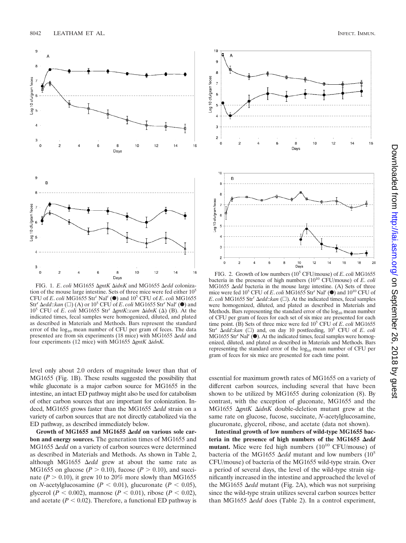

FIG. 1. *E. coli* MG1655 ΔgntK ΔidnK and MG1655 Δedd colonization of the mouse large intestine. Sets of three mice were fed either 105 CFU of *E*. *coli* MG1655 Strr Nalr (F) and 105 CFU of *E*. *coli* MG1655 Str<sup>r</sup>  $\Delta$ edd:: $\tan (\Box)$  (A) or  $10^5$  CFU of *E*. *coli* MG1655 Str<sup>r</sup> Nal<sup>r</sup> ( $\bullet$ ) and 10<sup>5</sup> CFU of *E. coli* MG1655 Str<sup>r</sup>  $\Delta gntK$ :*cam*  $\Delta idnK$  ( $\Delta$ ) (B). At the indicated times, fecal samples were homogenized, diluted, and plated as described in Materials and Methods. Bars represent the standard error of the  $log_{10}$  mean number of CFU per gram of feces. The data presented are from six experiments (18 mice) with MG1655 Δ*edd* and four experiments (12 mice) with MG1655 *gntK idnK*.

level only about 2.0 orders of magnitude lower than that of MG1655 (Fig. 1B). These results suggested the possibility that while gluconate is a major carbon source for MG1655 in the intestine, an intact ED pathway might also be used for catabolism of other carbon sources that are important for colonization. Indeed, MG1655 grows faster than the MG1655 Δedd strain on a variety of carbon sources that are not directly catabolized via the ED pathway, as described immediately below.

Growth of MG1655 and MG1655  $\Delta$ edd on various sole car**bon and energy sources.** The generation times of MG1655 and MG1655 Δedd on a variety of carbon sources were determined as described in Materials and Methods. As shown in Table 2, although MG1655 *Aedd* grew at about the same rate as MG1655 on glucose ( $P > 0.10$ ), fucose ( $P > 0.10$ ), and succinate  $(P > 0.10)$ , it grew 10 to 20% more slowly than MG1655 on *N*-acetylglucosamine ( $P < 0.01$ ), glucuronate ( $P < 0.05$ ), glycerol (*P* < 0.002), mannose (*P* < 0.01), ribose (*P* < 0.02), and acetate  $(P < 0.02)$ . Therefore, a functional ED pathway is



FIG. 2. Growth of low numbers (105 CFU/mouse) of *E*. *coli* MG1655 bacteria in the presence of high numbers  $(10^{10} \text{ CFU/mouse})$  of *E. coli* MG1655  $\Delta$ *edd* bacteria in the mouse large intestine. (A) Sets of three mice were fed 10<sup>5</sup> CFU of *E. coli* MG1655 Str<sup>r</sup> Nal<sup>r</sup> (<sup>●</sup>) and 10<sup>10</sup> CFU of *E*. *coli* MG1655 Str<sup>r</sup>  $\Delta$ *edd*::*kan* ( $\square$ ). At the indicated times, fecal samples were homogenized, diluted, and plated as described in Materials and Methods. Bars representing the standard error of the  $log_{10}$  mean number of CFU per gram of feces for each set of six mice are presented for each time point. (B) Sets of three mice were fed 10<sup>5</sup> CFU of *E*. *coli* MG1655 Str<sup>r</sup>  $\Delta$ edd:: $\tan$  ( $\square$ ) and, on day 10 postfeeding, 10<sup>5</sup> CFU of *E*. *coli*  $MG1655$  Str<sup>r</sup> Nal<sup>r</sup>  $(\bullet)$ . At the indicated times, fecal samples were homogenized, diluted, and plated as described in Materials and Methods. Bars representing the standard error of the  $log_{10}$  mean number of CFU per gram of feces for six mice are presented for each time point.

essential for maximum growth rates of MG1655 on a variety of different carbon sources, including several that have been shown to be utilized by MG1655 during colonization (8). By contrast, with the exception of gluconate, MG1655 and the MG1655 *gntK idnK* double-deletion mutant grew at the same rate on glucose, fucose, succinate, *N*-acetylglucosamine, glucuronate, glycerol, ribose, and acetate (data not shown).

**Intestinal growth of low numbers of wild-type MG1655 bac**teria in the presence of high numbers of the MG1655  $\Delta$ edd **mutant.** Mice were fed high numbers  $(10^{10} \text{ CFU/mouse})$  of bacteria of the MG1655  $\Delta$ *edd* mutant and low numbers (10<sup>5</sup>) CFU/mouse) of bacteria of the MG1655 wild-type strain. Over a period of several days, the level of the wild-type strain significantly increased in the intestine and approached the level of the MG1655  $\Delta$ *edd* mutant (Fig. 2A), which was not surprising since the wild-type strain utilizes several carbon sources better than MG1655 Δedd does (Table 2). In a control experiment,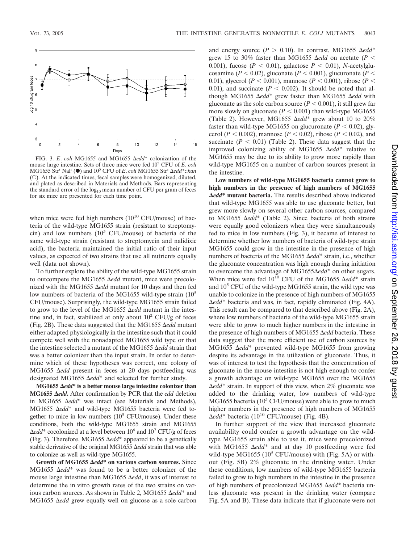

FIG. 3. *E*. *coli* MG1655 and MG1655 *edd*\* colonization of the mouse large intestine. Sets of three mice were fed 105 CFU of *E*. *coli* MG1655 Str<sup>r</sup> Nal<sup>r</sup> (●) and 10<sup>5</sup> CFU of *E. coli* MG1655 Str<sup>r</sup> ∆edd<sup>\*</sup>::*kan* (O). At the indicated times, fecal samples were homogenized, diluted, and plated as described in Materials and Methods. Bars representing the standard error of the  $log_{10}$  mean number of CFU per gram of feces for six mice are presented for each time point.

when mice were fed high numbers  $(10^{10} \text{ CFU/mouse})$  of bacteria of the wild-type MG1655 strain (resistant to streptomycin) and low numbers  $(10^5 \text{ CFU/mouse})$  of bacteria of the same wild-type strain (resistant to streptomycin and nalidixic acid), the bacteria maintained the initial ratio of their input values, as expected of two strains that use all nutrients equally well (data not shown).

To further explore the ability of the wild-type MG1655 strain to outcompete the MG1655  $\Delta$ *edd* mutant, mice were precolonized with the MG1655  $\Delta$ *edd* mutant for 10 days and then fed low numbers of bacteria of the MG1655 wild-type strain  $(10^5$ CFU/mouse). Surprisingly, the wild-type MG1655 strain failed to grow to the level of the MG1655  $\Delta$ *edd* mutant in the intestine and, in fact, stabilized at only about  $10^2$  CFU/g of feces (Fig. 2B). These data suggested that the MG1655  $\Delta$ *edd* mutant either adapted physiologically in the intestine such that it could compete well with the nonadapted MG1655 wild type or that the intestine selected a mutant of the MG1655  $\Delta$ *edd* strain that was a better colonizer than the input strain. In order to determine which of these hypotheses was correct, one colony of MG1655 Δedd present in feces at 20 days postfeeding was designated MG1655 Δedd<sup>\*</sup> and selected for further study.

MG1655 Δedd<sup>\*</sup> is a better mouse large intestine colonizer than **MG1655**  $\Delta$ *edd*. After confirmation by PCR that the *edd* deletion in MG1655  $\Delta edd^*$  was intact (see Materials and Methods), MG1655 Δedd<sup>\*</sup> and wild-type MG1655 bacteria were fed together to mice in low numbers  $(10^5 \text{ CFU/mouse})$ . Under these conditions, both the wild-type MG1655 strain and MG1655  $\Delta$ *edd*\* cocolonized at a level between 10<sup>6</sup> and 10<sup>7</sup> CFU/g of feces (Fig. 3). Therefore, MG1655  $\Delta edd^*$  appeared to be a genetically stable derivative of the original MG1655  $\Delta$ *edd* strain that was able to colonize as well as wild-type MG1655.

Growth of MG1655  $\Delta$ *edd*\* on various carbon sources. Since MG1655  $\Delta edd^*$  was found to be a better colonizer of the mouse large intestine than MG1655  $\Delta$ *edd*, it was of interest to determine the in vitro growth rates of the two strains on various carbon sources. As shown in Table 2, MG1655 Δedd<sup>\*</sup> and MG1655  $\Delta$ *edd* grew equally well on glucose as a sole carbon

and energy source  $(P > 0.10)$ . In contrast, MG1655  $\Delta edd^*$ grew 15 to 30% faster than MG1655  $\Delta$ *edd* on acetate (*P* < 0.001), fucose  $(P < 0.01)$ , galactose  $P < 0.01$ ), *N*-acetylglucosamine ( $P < 0.02$ ), gluconate ( $P < 0.001$ ), glucuronate ( $P <$ 0.01), glycerol ( $P < 0.001$ ), mannose ( $P < 0.001$ ), ribose ( $P <$ 0.01), and succinate  $(P < 0.002)$ . It should be noted that although MG1655  $\Delta edd^*$  grew faster than MG1655  $\Delta edd$  with gluconate as the sole carbon source  $(P < 0.001)$ , it still grew far more slowly on gluconate  $(P < 0.001)$  than wild-type MG1655 (Table 2). However, MG1655  $\Delta edd^*$  grew about 10 to 20% faster than wild-type MG1655 on glucuronate  $(P < 0.02)$ , glycerol ( $P < 0.002$ ), mannose ( $P < 0.02$ ), ribose ( $P < 0.02$ ), and succinate  $(P < 0.01)$  (Table 2). These data suggest that the improved colonizing ability of MG1655  $\Delta edd^*$  relative to MG1655 may be due to its ability to grow more rapidly than wild-type MG1655 on a number of carbon sources present in the intestine.

**Low numbers of wild-type MG1655 bacteria cannot grow to high numbers in the presence of high numbers of MG1655** *edd***\* mutant bacteria.** The results described above indicated that wild-type MG1655 was able to use gluconate better, but grew more slowly on several other carbon sources, compared to MG1655 Δedd<sup>\*</sup> (Table 2). Since bacteria of both strains were equally good colonizers when they were simultaneously fed to mice in low numbers (Fig. 3), it became of interest to determine whether low numbers of bacteria of wild-type strain MG1655 could grow in the intestine in the presence of high numbers of bacteria of the MG1655 Δedd<sup>\*</sup> strain, i.e., whether the gluconate concentration was high enough during initiation to overcome the advantage of MG1655 $\Delta$ edd\* on other sugars. When mice were fed  $10^{10}$  CFU of the MG1655  $\Delta$ edd\* strain and  $10^5$  CFU of the wild-type MG1655 strain, the wild type was unable to colonize in the presence of high numbers of MG1655 *edd*\* bacteria and was, in fact, rapidly eliminated (Fig. 4A). This result can be compared to that described above (Fig. 2A), where low numbers of bacteria of the wild-type MG1655 strain were able to grow to much higher numbers in the intestine in the presence of high numbers of MG1655 Δ*edd* bacteria. These data suggest that the more efficient use of carbon sources by MG1655  $\Delta$ edd\* prevented wild-type MG1655 from growing despite its advantage in the utilization of gluconate. Thus, it was of interest to test the hypothesis that the concentration of gluconate in the mouse intestine is not high enough to confer a growth advantage on wild-type MG1655 over the MG1655 *edd*\* strain. In support of this view, when 2% gluconate was added to the drinking water, low numbers of wild-type MG1655 bacteria ( $10^5$  CFU/mouse) were able to grow to much higher numbers in the presence of high numbers of MG1655  $\Delta$ *edd*\* bacteria (10<sup>10</sup> CFU/mouse) (Fig. 4B).

In further support of the view that increased gluconate availability could confer a growth advantage on the wildtype MG1655 strain able to use it, mice were precolonized with MG1655  $\Delta$ *edd*\* and at day 10 postfeeding were fed wild-type MG1655 ( $10^5$  CFU/mouse) with (Fig. 5A) or without (Fig. 5B) 2% gluconate in the drinking water. Under these conditions, low numbers of wild-type MG1655 bacteria failed to grow to high numbers in the intestine in the presence of high numbers of precolonized MG1655 Δedd\* bacteria unless gluconate was present in the drinking water (compare Fig. 5A and B). These data indicate that if gluconate were not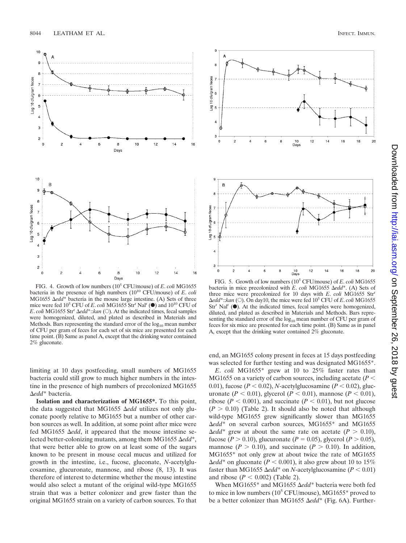

FIG. 4. Growth of low numbers (105 CFU/mouse) of *E*. *coli* MG1655 bacteria in the presence of high numbers (1010 CFU/mouse) of *E*. *coli* MG1655  $\Delta edd^*$  bacteria in the mouse large intestine. (A) Sets of three mice were fed 10<sup>5</sup> CFU of *E. coli* MG1655 Str<sup>r</sup> Nal<sup>r</sup> (<sup>●</sup>) and 10<sup>10</sup> CFU of *E*. *coli* MG1655 Str<sup>r</sup>  $\Delta$ *edd*\*:*:kan* ( $\odot$ ). At the indicated times, fecal samples were homogenized, diluted, and plated as described in Materials and Methods. Bars representing the standard error of the  $log_{10}$  mean number of CFU per gram of feces for each set of six mice are presented for each time point. (B) Same as panel A, except that the drinking water contained 2% gluconate.

limiting at 10 days postfeeding, small numbers of MG1655 bacteria could still grow to much higher numbers in the intestine in the presence of high numbers of precolonized MG1655  $\Delta$ edd<sup>\*</sup> bacteria.

**Isolation and characterization of MG1655\*.** To this point, the data suggested that MG1655  $\Delta$ *edd* utilizes not only gluconate poorly relative to MG1655 but a number of other carbon sources as well. In addition, at some point after mice were fed MG1655 Δedd, it appeared that the mouse intestine selected better-colonizing mutants, among them MG1655  $\Delta edd^*$ , that were better able to grow on at least some of the sugars known to be present in mouse cecal mucus and utilized for growth in the intestine, i.e., fucose, gluconate, *N*-acetylglucosamine, glucuronate, mannose, and ribose (8, 13). It was therefore of interest to determine whether the mouse intestine would also select a mutant of the original wild-type MG1655 strain that was a better colonizer and grew faster than the original MG1655 strain on a variety of carbon sources. To that



FIG. 5. Growth of low numbers (105 CFU/mouse) of *E*. *coli* MG1655 bacteria in mice precolonized with *E*. *coli* MG1655 Δedd<sup>\*</sup>. (A) Sets of three mice were precolonized for 10 days with *E*. *coli* MG1655 Strr  $\Delta$ *edd*\*:*:kan* ( $\odot$ ). On day10, the mice were fed 10<sup>5</sup> CFU of *E*. *coli* MG1655  $Str<sup>r</sup>$  Nal<sup>r</sup> ( $\bullet$ ). At the indicated times, fecal samples were homogenized, diluted, and plated as described in Materials and Methods. Bars representing the standard error of the  $log_{10}$  mean number of CFU per gram of feces for six mice are presented for each time point. (B) Same as in panel A, except that the drinking water contained 2% gluconate.

end, an MG1655 colony present in feces at 15 days postfeeding was selected for further testing and was designated MG1655<sup>\*</sup>.

*E*. *coli* MG1655\* grew at 10 to 25% faster rates than MG1655 on a variety of carbon sources, including acetate (*P* 0.01), fucose ( $P < 0.02$ ), *N*-acetylglucosamine ( $P < 0.02$ ), glucuronate (*P* < 0.01), glycerol (*P* < 0.01), mannose (*P* < 0.01), ribose ( $P < 0.001$ ), and succinate ( $P < 0.01$ ), but not glucose  $(P > 0.10)$  (Table 2). It should also be noted that although wild-type MG1655 grew significantly slower than MG1655  $\Delta$ edd<sup>\*</sup> on several carbon sources, MG1655<sup>\*</sup> and MG1655  $\Delta$ *edd*\* grew at about the same rate on acetate (*P*  $> 0.10$ ), fucose (*P*  $> 0.10$ ), glucuronate (*P* = 0.05), glycerol (*P*  $> 0.05$ ), mannose  $(P > 0.10)$ , and succinate  $(P > 0.10)$ . In addition, MG1655\* not only grew at about twice the rate of MG1655  $\Delta$ *edd*\* on gluconate (*P* < 0.001), it also grew about 10 to 15% faster than MG1655  $\Delta$ *edd*\* on *N*-acetylglucosamine ( $P < 0.01$ ) and ribose  $(P < 0.002)$  (Table 2).

When MG1655<sup>\*</sup> and MG1655 Δedd<sup>\*</sup> bacteria were both fed to mice in low numbers  $(10^5 \text{ CFU/mouse})$ , MG1655\* proved to be a better colonizer than MG1655 Δedd<sup>\*</sup> (Fig. 6A). Further-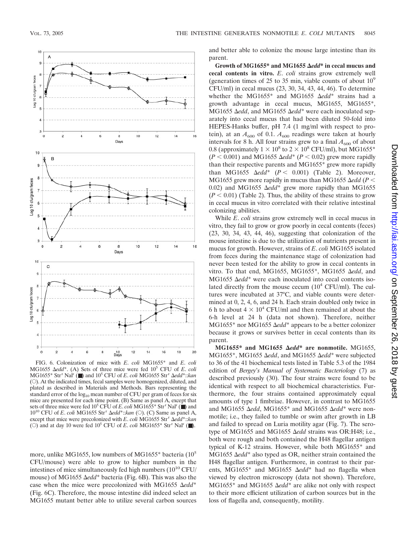

FIG. 6. Colonization of mice with *E*. *coli* MG1655\* and *E*. *coli* MG1655 Δedd<sup>\*</sup>. (A) Sets of three mice were fed 10<sup>5</sup> CFU of *E*. *coli* MG1655<sup>\*</sup> Str<sup>r</sup> Nal<sup>r</sup> (■) and 10<sup>5</sup> CFU of *E. coli* MG1655 Str<sup>r</sup> ∆edd<sup>\*</sup>::*kan* (E). At the indicated times, fecal samples were homogenized, diluted, and plated as described in Materials and Methods. Bars representing the standard error of the  $log_{10}$  mean number of CFU per gram of feces for six mice are presented for each time point. (B) Same as panel A, except that sets of three mice were fed  $10^5$  CFU of *E*. *coli* MG1655<sup>\*</sup> Str<sup>r</sup> Nal<sup>r</sup> (■) and 10<sup>10</sup> CFU of *E. coli* MG1655 Str<sup>r</sup>  $\Delta$ edd\*::*kan* (○). (C) Same as panel A, except that mice were precolonized with *E. coli* MG1655 Str<sup>r</sup>  $\Delta edd^*$ ::*kan* (O) and at day 10 were fed  $10^5$  CFU of *E. coli* MG1655\* Str<sup>r</sup> Nal<sup>r</sup> (■).

more, unlike MG1655, low numbers of MG1655<sup>\*</sup> bacteria (10<sup>5</sup> CFU/mouse) were able to grow to higher numbers in the intestines of mice simultaneously fed high numbers ( $10^{10}$  CFU/ mouse) of MG1655 Δedd<sup>\*</sup> bacteria (Fig. 6B). This was also the case when the mice were precolonized with MG1655  $\Delta edd^*$ (Fig. 6C). Therefore, the mouse intestine did indeed select an MG1655 mutant better able to utilize several carbon sources and better able to colonize the mouse large intestine than its parent.

Growth of MG1655\* and MG1655  $\Delta$ edd\* in cecal mucus and **cecal contents in vitro.** *E*. *coli* strains grow extremely well (generation times of 25 to 35 min, viable counts of about  $10^9$ CFU/ml) in cecal mucus (23, 30, 34, 43, 44, 46). To determine whether the MG1655<sup>\*</sup> and MG1655  $\Delta edd^*$  strains had a growth advantage in cecal mucus, MG1655, MG1655\*, MG1655 Δedd, and MG1655 Δedd<sup>\*</sup> were each inoculated separately into cecal mucus that had been diluted 50-fold into HEPES-Hanks buffer, pH 7.4 (1 mg/ml with respect to protein), at an  $A_{600}$  of 0.1.  $A_{600}$  readings were taken at hourly intervals for 8 h. All four strains grew to a final  $A_{600}$  of about 0.8 (approximately  $1 \times 10^8$  to  $2 \times 10^8$  CFU/ml), but MG1655\*  $(P < 0.001)$  and MG1655  $\Delta$ *edd*\*  $(P < 0.02)$  grew more rapidly than their respective parents and MG1655\* grew more rapidly than MG1655  $\Delta ed\bar{d}^*$  ( $P < 0.001$ ) (Table 2). Moreover, MG1655 grew more rapidly in mucus than MG1655  $\Delta$ *edd* (*P* < 0.02) and MG1655  $\Delta edd^*$  grew more rapidly than MG1655  $(P < 0.01)$  (Table 2). Thus, the ability of these strains to grow in cecal mucus in vitro correlated with their relative intestinal colonizing abilities.

While *E*. *coli* strains grow extremely well in cecal mucus in vitro, they fail to grow or grow poorly in cecal contents (feces) (23, 30, 34, 43, 44, 46), suggesting that colonization of the mouse intestine is due to the utilization of nutrients present in mucus for growth. However, strains of *E*. *coli* MG1655 isolated from feces during the maintenance stage of colonization had never been tested for the ability to grow in cecal contents in vitro. To that end, MG1655, MG1655<sup>\*</sup>, MG1655 Δedd, and MG1655  $\Delta$ *edd*\* were each inoculated into cecal contents isolated directly from the mouse cecum  $(10^4 \text{ CFU/ml})$ . The cultures were incubated at 37°C, and viable counts were determined at 0, 2, 4, 6, and 24 h. Each strain doubled only twice in 6 h to about  $4 \times 10^4$  CFU/ml and then remained at about the 6-h level at 24 h (data not shown). Therefore, neither MG1655<sup>\*</sup> nor MG1655 Δedd<sup>\*</sup> appears to be a better colonizer because it grows or survives better in cecal contents than its parent.

MG1655\* and MG1655  $\Delta$ *edd*\* are nonmotile. MG1655, MG1655<sup>\*</sup>, MG1655 Δedd, and MG1655 Δedd<sup>\*</sup> were subjected to 36 of the 41 biochemical tests listed in Table 5.3 of the 1984 edition of *Bergey*'*s Manual of Systematic Bacteriology* (7) as described previously (30). The four strains were found to be identical with respect to all biochemical characteristics. Furthermore, the four strains contained approximately equal amounts of type 1 fimbriae. However, in contrast to MG1655 and MG1655 Δedd, MG1655<sup>\*</sup> and MG1655 Δedd<sup>\*</sup> were nonmotile; i.e., they failed to tumble or swim after growth in LB and failed to spread on Luria motility agar (Fig. 7). The serotype of MG1655 and MG1655 Δedd strains was OR:H48; i.e., both were rough and both contained the H48 flagellar antigen typical of K-12 strains. However, while both MG1655\* and MG1655 Δedd<sup>\*</sup> also typed as OR, neither strain contained the H48 flagellar antigen. Furthermore, in contrast to their parents, MG1655<sup>\*</sup> and MG1655 Δedd<sup>\*</sup> had no flagella when viewed by electron microscopy (data not shown). Therefore,  $MG1655*$  and  $MG1655$   $\Delta edd*$  are alike not only with respect to their more efficient utilization of carbon sources but in the loss of flagella and, consequently, motility.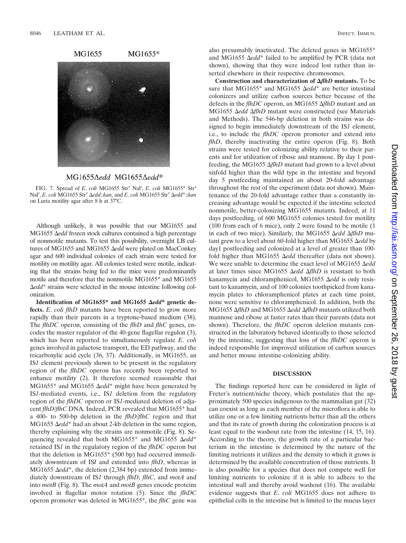



FIG. 7. Spread of *E. coli* MG1655 Str<sup>r</sup> Nal<sup>r</sup>, *E. coli* MG1655\* Str<sup>r</sup> Nalr , *E*. *coli* MG1655 Str<sup>r</sup> *edd*::*kan*, and *E*. *coli* MG1655 Str<sup>r</sup> *edd*\*::*kan* on Luria motility agar after 8 h at 37°C.

Although unlikely, it was possible that our MG1655 and MG1655  $\Delta$ *edd* frozen stock cultures contained a high percentage of nonmotile mutants. To test this possibility, overnight LB cultures of MG1655 and MG1655  $\Delta$ *edd* were plated on MacConkey agar and 600 individual colonies of each strain were tested for motility on motility agar. All colonies tested were motile, indicating that the strains being fed to the mice were predominantly motile and therefore that the nonmotile MG1655\* and MG1655 *edd*\* strains were selected in the mouse intestine following colonization.

Identification of MG1655<sup>\*</sup> and MG1655 Δedd<sup>\*</sup> genetic de**fects.** *E*. *coli flhD* mutants have been reported to grow more rapidly than their parents in a tryptone-based medium (38). The *flhDC* operon, consisting of the *flhD* and *flhC* genes, encodes the master regulator of the 40-gene flagellar regulon (3), which has been reported to simultaneously regulate *E*. *coli* genes involved in galactose transport, the ED pathway, and the tricarboxylic acid cycle (36, 37). Additionally, in MG1655, an IS*1* element previously shown to be present in the regulatory region of the *flhDC* operon has recently been reported to enhance motility (2). It therefore seemed reasonable that MG1655\* and MG1655  $\Delta edd^*$  might have been generated by IS*1*-mediated events, i.e., IS*1* deletion from the regulatory region of the *flhDC* operon or IS*1*-mediated deletion of adjacent *flhD*/*flhC* DNA. Indeed, PCR revealed that MG1655\* had a 400- to 500-bp deletion in the *flhD*/*flhC* region and that MG1655  $\Delta edd^*$  had an about 2-kb deletion in the same region, thereby explaining why the strains are nonmotile (Fig. 8). Sequencing revealed that both MG1655<sup>\*</sup> and MG1655  $\Delta edd^*$ retained IS*1* in the regulatory region of the *flhDC* operon but that the deletion in MG1655\* (500 bp) had occurred immediately downstream of IS*I* and extended into *flhD*, whereas in MG1655  $\Delta edd^*$ , the deletion (2,384 bp) extended from immediately downstream of IS*1* through *flhD*, *flhC*, and *motA* and into *motB* (Fig. 8). The *motA* and *motB* genes encode proteins involved in flagellar motor rotation (5). Since the *flhDC* operon promoter was deleted in MG1655\*, the *flhC* gene was

also presumably inactivated. The deleted genes in MG1655\* and MG1655  $\Delta edd^*$  failed to be amplified by PCR (data not shown), showing that they were indeed lost rather than inserted elsewhere in their respective chromosomes.

**Construction and characterization of** *flhD* **mutants.** To be sure that MG1655<sup>\*</sup> and MG1655  $\Delta$ *edd*<sup>\*</sup> are better intestinal colonizers and utilize carbon sources better because of the defects in the *flhDC* operon, an MG1655 Δ*flhD* mutant and an MG1655 Δedd ΔflhD mutant were constructed (see Materials and Methods). The 546-bp deletion in both strains was designed to begin immediately downstream of the IS*1* element, i.e., to include the *flhDC* operon promoter and extend into *flhD*, thereby inactivating the entire operon (Fig. 8). Both strains were tested for colonizing ability relative to their parents and for utilization of ribose and mannose. By day 1 postfeeding, the MG1655  $\Delta f h D$  mutant had grown to a level about sixfold higher than the wild type in the intestine and beyond day 5 postfeeding maintained an about 20-fold advantage throughout the rest of the experiment (data not shown). Maintenance of the 20-fold advantage rather than a constantly increasing advantage would be expected if the intestine selected nonmotile, better-colonizing MG1655 mutants. Indeed, at 11 days postfeeding, of 600 MG1655 colonies tested for motility (100 from each of 6 mice), only 2 were found to be motile (1 in each of two mice). Similarly, the MG1655  $\Delta$ *edd*  $\Delta$ *flhD* mutant grew to a level about 60-fold higher than MG1655  $\Delta$ *edd* by day1 postfeeding and colonized at a level of greater than 100 fold higher than MG1655 Δedd thereafter (data not shown). We were unable to determine the exact level of MG1655  $\Delta$ edd at later times since MG1655 Δedd ΔflhD is resistant to both kanamycin and chloramphenicol, MG1655  $\Delta$ *edd* is only resistant to kanamycin, and of 100 colonies toothpicked from kanamycin plates to chloramphenicol plates at each time point, none were sensitive to chloramphenicol. In addition, both the MG1655 Δ*flhD* and MG1655 Δ*edd* Δ*flhD* mutants utilized both mannose and ribose at faster rates than their parents (data not shown). Therefore, the *flhDC* operon deletion mutants constructed in the laboratory behaved identically to those selected by the intestine, suggesting that loss of the *flhDC* operon is indeed responsible for improved utilization of carbon sources and better mouse intestine-colonizing ability.

#### **DISCUSSION**

The findings reported here can be considered in light of Freter's nutrient/niche theory, which postulates that the approximately 500 species indigenous to the mammalian gut (32) can coexist as long as each member of the microflora is able to utilize one or a few limiting nutrients better than all the others and that its rate of growth during the colonization process is at least equal to the washout rate from the intestine (14, 15, 16). According to the theory, the growth rate of a particular bacterium in the intestine is determined by the nature of the limiting nutrients it utilizes and the density to which it grows is determined by the available concentration of those nutrients. It is also possible for a species that does not compete well for limiting nutrients to colonize if it is able to adhere to the intestinal wall and thereby avoid washout (16). The available evidence suggests that *E*. *coli* MG1655 does not adhere to epithelial cells in the intestine but is limited to the mucus layer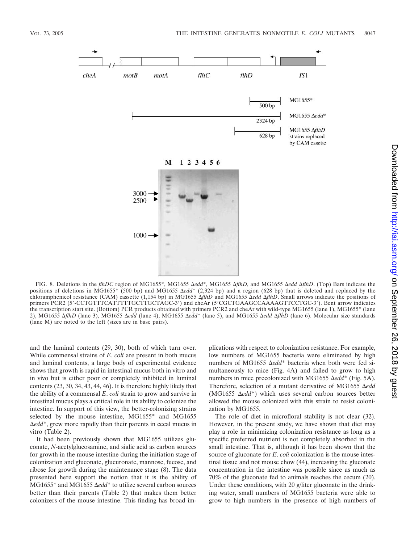

FIG. 8. Deletions in the *flhDC* region of MG1655\*, MG1655 *edd*\*, MG1655 *flhD*, and MG1655 *edd flhD*. (Top) Bars indicate the positions of deletions in MG1655\* (500 bp) and MG1655 *edd*\* (2,324 bp) and a region (628 bp) that is deleted and replaced by the chloramphenicol resistance (CAM) cassette (1,154 bp) in MG1655 *flhD* and MG1655 *edd flhD*. Small arrows indicate the positions of primers PCR2 (5'-CCTGTTTCATTTTGCTTGCTAGC-3') and cheAr (5'CGCTGAAGCCAAAAGTTCCTGC-3'). Bent arrow indicates the transcription start site. (Bottom) PCR products obtained with primers PCR2 and cheAr with wild-type MG1655 (lane 1), MG1655\* (lane 2), MG1655 AflhD (lane 3), MG1655  $\Delta$ edd (lane 4), MG1655  $\Delta$ edd<sup>\*</sup> (lane 5), and MG1655  $\Delta$ edd  $\Delta$ flhD (lane 6). Molecular size standards (lane M) are noted to the left (sizes are in base pairs).

and the luminal contents (29, 30), both of which turn over. While commensal strains of *E*. *coli* are present in both mucus and luminal contents, a large body of experimental evidence shows that growth is rapid in intestinal mucus both in vitro and in vivo but is either poor or completely inhibited in luminal contents (23, 30, 34, 43, 44, 46). It is therefore highly likely that the ability of a commensal *E*. *coli* strain to grow and survive in intestinal mucus plays a critical role in its ability to colonize the intestine. In support of this view, the better-colonizing strains selected by the mouse intestine, MG1655\* and MG1655 *edd*\*, grew more rapidly than their parents in cecal mucus in vitro (Table 2).

It had been previously shown that MG1655 utilizes gluconate, *N*-acetylglucosamine, and sialic acid as carbon sources for growth in the mouse intestine during the initiation stage of colonization and gluconate, glucuronate, mannose, fucose, and ribose for growth during the maintenance stage (8). The data presented here support the notion that it is the ability of MG1655<sup>\*</sup> and MG1655 Δedd<sup>\*</sup> to utilize several carbon sources better than their parents (Table 2) that makes them better colonizers of the mouse intestine. This finding has broad implications with respect to colonization resistance. For example, low numbers of MG1655 bacteria were eliminated by high numbers of MG1655 Δedd<sup>\*</sup> bacteria when both were fed simultaneously to mice (Fig. 4A) and failed to grow to high numbers in mice precolonized with MG1655 Δedd<sup>\*</sup> (Fig. 5A). Therefore, selection of a mutant derivative of MG1655 *Aedd* (MG1655  $\Delta edd^*$ ) which uses several carbon sources better allowed the mouse colonized with this strain to resist colonization by MG1655.

The role of diet in microfloral stability is not clear (32). However, in the present study, we have shown that diet may play a role in minimizing colonization resistance as long as a specific preferred nutrient is not completely absorbed in the small intestine. That is, although it has been shown that the source of gluconate for *E*. *coli* colonization is the mouse intestinal tissue and not mouse chow (44), increasing the gluconate concentration in the intestine was possible since as much as 70% of the gluconate fed to animals reaches the cecum (20). Under these conditions, with 20 g/liter gluconate in the drinking water, small numbers of MG1655 bacteria were able to grow to high numbers in the presence of high numbers of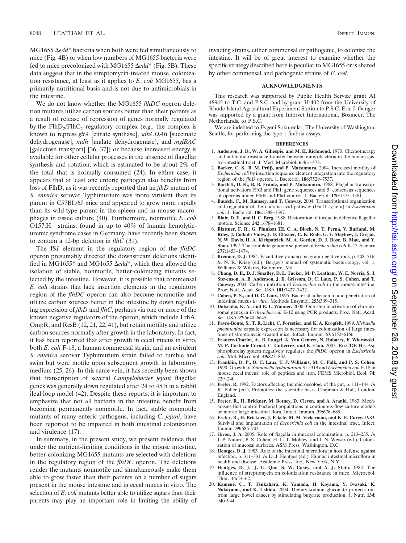MG1655 Δedd<sup>\*</sup> bacteria when both were fed simultaneously to mice (Fig. 4B) or when low numbers of MG1655 bacteria were fed to mice precolonized with MG1655 Δedd<sup>\*</sup> (Fig. 5B). These data suggest that in the streptomycin-treated mouse, colonization resistance, at least as it applies to *E*. *coli* MG1655, has a primarily nutritional basis and is not due to antimicrobials in the intestine.

We do not know whether the MG1655 *flhDC* operon deletion mutants utilize carbon sources better than their parents as a result of release of repression of genes normally regulated by the  $FlhD<sub>2</sub>/FlhC<sub>2</sub>$  regulatory complex (e.g., the complex is known to repress *gltA* [citrate synthase], *sdhCDAB* [succinate dehydrogenase], *mdh* [malate dehydrogenase], and *mglBAC* [galactose transport] [36, 37]) or because increased energy is available for other cellular processes in the absence of flagellar synthesis and rotation, which is estimated to be about 2% of the total that is normally consumed (24). In either case, it appears that at least one enteric pathogen also benefits from loss of FlhD, as it was recently reported that an *flhD* mutant of *S*. *enterica* serovar Typhimurium was more virulent than its parent in C57BL/6J mice and appeared to grow more rapidly than its wild-type parent in the spleen and in mouse macrophages in tissue culture (40). Furthermore, nonmotile *E*. *coli*  $O157:H^-$  strains, found in up to 40% of human hemolyticuremic syndrome cases in Germany, have recently been shown to contain a 12-bp deletion in *flhC* (31).

The IS*1* element in the regulatory region of the *flhDC* operon presumably directed the downstream deletions identified in MG1655<sup>\*</sup> and MG1655 Δedd<sup>\*</sup>, which then allowed the isolation of stable, nonmotile, better-colonizing mutants selected by the intestine. However, it is possible that commensal *E*. *coli* strains that lack insertion elements in the regulatory region of the *flhDC* operon can also become nonmotile and utilize carbon sources better in the intestine by down regulating expression of *flhD* and *flhC*, perhaps via one or more of the known negative regulators of the operon, which include LrhA, OmpR, and RcsB (12, 21, 22, 41), but retain motility and utilize carbon sources normally after growth in the laboratory. In fact, it has been reported that after growth in cecal mucus in vitro, both *E*. *coli* F-18, a human commensal strain, and an avirulent *S*. *enterica* serovar Typhimurium strain failed to tumble and swim but were motile upon subsequent growth in laboratory medium (25, 26). In this same vein, it has recently been shown that transcription of several *Campylobacter jejuni* flagellar genes was generally down regulated after 24 to 48 h in a rabbit ileal loop model (42). Despite these reports, it is important to emphasize that not all bacteria in the intestine benefit from becoming permanently nonmotile. In fact, stable nonmotile mutants of many enteric pathogens, including *C*. *jejuni*, have been reported to be impaired in both intestinal colonization and virulence (17).

In summary, in the present study, we present evidence that under the nutrient-limiting conditions in the mouse intestine, better-colonizing MG1655 mutants are selected with deletions in the regulatory region of the *flhDC* operon. The deletions render the mutants nonmotile and simultaneously make them able to grow faster than their parents on a number of sugars present in the mouse intestine and in cecal mucus in vitro. The selection of *E*. *coli* mutants better able to utilize sugars than their parents may play an important role in limiting the ability of invading strains, either commensal or pathogenic, to colonize the intestine. It will be of great interest to examine whether the specific strategy described here is peculiar to MG1655 or is shared by other commensal and pathogenic strains of *E*. *coli*.

#### **ACKNOWLEDGMENTS**

This research was supported by Public Health Service grant AI 48945 to T.C. and P.S.C. and by grant H-402 from the University of Rhode Island Agricultural Experiment Station to P.S.C. Eric J. Gauger was supported by a grant from Intervet International, Boxmeer, The Netherlands, to P.S.C.

We are indebted to Evgeni Sokurenko, The University of Washington, Seattle, for performing the type 1 fimbria assays.

#### **REFERENCES**

- 1. **Anderson, J. D., W. A. Gillespie, and M. H. Richmond.** 1973. Chemotherapy and antibiotic-resistance transfer between enterobacteria in the human gastro-intestinal tract. J. Med. Microbiol. **6:**461–473.
- 2. Barker, C. S., B. M. Prüß, and P. Matsumura. 2004. Increased motility of *Escherichia coli* by insertion sequence element integration into the regulatory region of the *flhD* operon. J. Bacteriol. **186:**7529–7537.
- 3. **Bartlett, D. H., B. B. Frantz, and P. Matsumura.** 1988. Flagellar transcriptional activators FlbB and FlaI: gene sequences and 5' consensus sequences of operons under FlbB and FlaI control. J. Bacteriol. **170:**1575–1581.
- 4. **Bausch, C., M. Ramsey, and T. Conway.** 2004. Transcriptional organization and regulation of the L-idonic acid pathway (GntII system) in *Escherichia coli*. J. Bacteriol. **186:**1388–1397.
- 5. **Blair, D. F., and H. C. Berg.** 1988. Restoration of torque in defective flagellar motors. Science **242:**1678–1681.
- 6. **Blattner, F. R., G. Plunkett III, C. A. Bloch, N. T. Perna, V. Burland, M. Riley, J. Collado-Vides, J. D. Glasner, C. K. Rode, G. F. Mayhew, J. Gregor, N. W. Davis, H. A. Kirkpatrick, M. A. Goeden, D. J. Rose, B. Mau, and Y. Shao.** 1997. The complete genome sequence of *Escherichia coli* K-12. Science **277:**1453–1474.
- 7. **Brenner, D. J.** 1984. Facultatively anaerobic gram-negative rods, p. 408–516. *In* N. R. Krieg (ed.), Bergey's manual of systematic bacteriology, vol. 1. Williams & Wilkins, Baltimore, Md.
- 8. **Chang, D. E., D. J. Smalley, D. L. Tucker, M. P. Leatham, W. E. Norris, S. J. Stevenson, A. B. Anderson, J. E. Grissom, D. C. Laux, P. S. Cohen, and T. Conway.** 2004. Carbon nutrition of *Escherichia coli* in the mouse intestine. Proc. Natl. Acad. Sci. USA **101:**7427–7432.
- 9. **Cohen, P. S., and D. C. Laux.** 1995. Bacterial adhesion to and penetration of intestinal mucus *in vitro*. Methods Enzymol. **253:**309–315.
- 10. **Datsenko, K. A., and B. L. Wanner.** 2000. One-step inactivation of chromosomal genes in *Escherichia coli* K-12 using PCR products. Proc. Natl. Acad. Sci. USA **97:**6640–6645.
- 11. **Favre-Bonte, S., T. R. Licht, C. Forestier, and K. A. Krogfelt.** 1999. *Klebsiella pneumoniae* capsule expression is necessary for colonization of large intestines of streptomycin-treated mice. Infect. Immun. **67:**6152–6156.
- 12. **Francez-Charlot, A., B. Laugel, A. Van Gemert, N. Dubarry, F. Wiorowski, M. P. Castanie-Cornet, C. Gutierrez, and K. Cam.** 2003. RcsCDB His-Asp phosphorelay system negatively regulates the *flhDC* operon in *Escherichia coli*. Mol. Microbiol. **49:**823–832.
- 13. **Franklin, D. P., D. C. Laux, T. J. Williams, M. C. Falk, and P. S. Cohen.** 1990. Growth of *Salmonella typhimurium* SL5319 and *Escherichia coli* F-18 in mouse cecal mucus: role of peptides and iron. FEMS Microbiol. Ecol. **74:** 229–240.
- 14. **Freter, R.** 1992. Factors affecting the microecology of the gut, p. 111–144. *In* R. Fuller (ed.), Probiotics: the scientific basis. Chapman & Hall, London, England.
- 15. **Freter, R., H. Brickner, M. Botney, D. Cleven, and A. Aranki.** 1983. Mechanisms that control bacterial populations in continuous-flow culture models or mouse large intestinal flora. Infect. Immun. **39:**676–685.
- 16. **Freter, R., H. Brickner, J. Fekete, M. M. Vickerman, and K. E. Carey.** 1983. Survival and implantation of *Escherichia coli* in the intestinal tract. Infect. Immun. **39:**686–703.
- 17. **Giron, J. A.** 2005. Role of flagella in mucosal colonization, p. 213–235. *In* J. P. Nataro, P. S. Cohen, H. L. T. Mobley, and J. N. Weiser (ed.), Colonization of mucosal surfaces. ASM Press, Washington, D.C.
- 18. **Hentges, D. J.** 1983. Role of the intestinal microflora in host defense against infection, p. 311–331. *In* D. J. Hentges (ed.), Human intestinal microflora in health and disease. Academic Press, Inc., New York, N.Y.
- 19. **Hentges, D. J., J. U. Que, S. W. Casey, and A. J. Stein.** 1984. The influence of streptomycin on colonization resistance in mice. Microecol. Ther. **14:**53–62.
- 20. **Kameue, C., T. Tsukahara, K. Yamada, H. Koyama, Y. Iwasaki, K. Nakayama, and K. Ushida.** 2004. Dietary sodium gluconate protects rats from large bowel cancer by stimulating butyrate production. J. Nutr. **134:** 940–944.